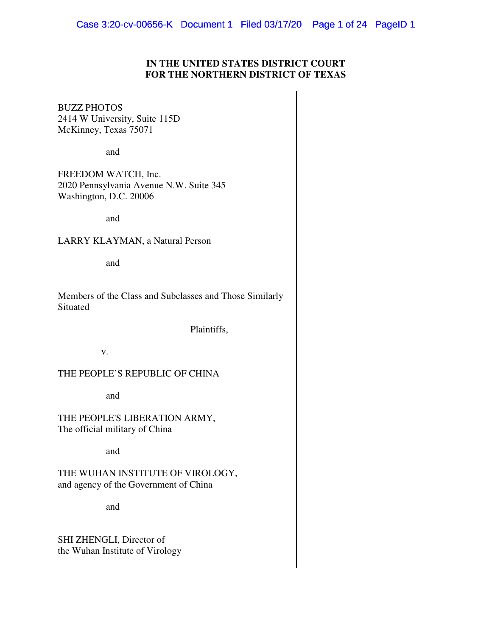# **IN THE UNITED STATES DISTRICT COURT FOR THE NORTHERN DISTRICT OF TEXAS**

# BUZZ PHOTOS 2414 W University, Suite 115D McKinney, Texas 75071

and

FREEDOM WATCH, Inc. 2020 Pennsylvania Avenue N.W. Suite 345 Washington, D.C. 20006

and

LARRY KLAYMAN, a Natural Person

and

Members of the Class and Subclasses and Those Similarly Situated

Plaintiffs,

v.

#### THE PEOPLE'S REPUBLIC OF CHINA

and

THE PEOPLE'S LIBERATION ARMY, The official military of China

and

THE WUHAN INSTITUTE OF VIROLOGY, and agency of the Government of China

and

SHI ZHENGLI, Director of the Wuhan Institute of Virology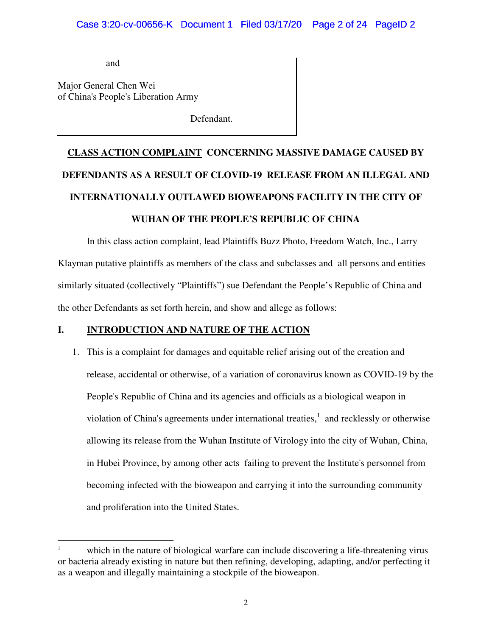and

Major General Chen Wei of China's People's Liberation Army

Defendant.

# **CLASS ACTION COMPLAINT CONCERNING MASSIVE DAMAGE CAUSED BY DEFENDANTS AS A RESULT OF CLOVID-19 RELEASE FROM AN ILLEGAL AND INTERNATIONALLY OUTLAWED BIOWEAPONS FACILITY IN THE CITY OF WUHAN OF THE PEOPLE'S REPUBLIC OF CHINA**

 In this class action complaint, lead Plaintiffs Buzz Photo, Freedom Watch, Inc., Larry Klayman putative plaintiffs as members of the class and subclasses and all persons and entities similarly situated (collectively "Plaintiffs") sue Defendant the People's Republic of China and the other Defendants as set forth herein, and show and allege as follows:

# **I. INTRODUCTION AND NATURE OF THE ACTION**

1. This is a complaint for damages and equitable relief arising out of the creation and release, accidental or otherwise, of a variation of coronavirus known as COVID-19 by the People's Republic of China and its agencies and officials as a biological weapon in violation of China's agreements under international treaties, $<sup>1</sup>$  and recklessly or otherwise</sup> allowing its release from the Wuhan Institute of Virology into the city of Wuhan, China, in Hubei Province, by among other acts failing to prevent the Institute's personnel from becoming infected with the bioweapon and carrying it into the surrounding community and proliferation into the United States.

l 1 which in the nature of biological warfare can include discovering a life-threatening virus or bacteria already existing in nature but then refining, developing, adapting, and/or perfecting it as a weapon and illegally maintaining a stockpile of the bioweapon.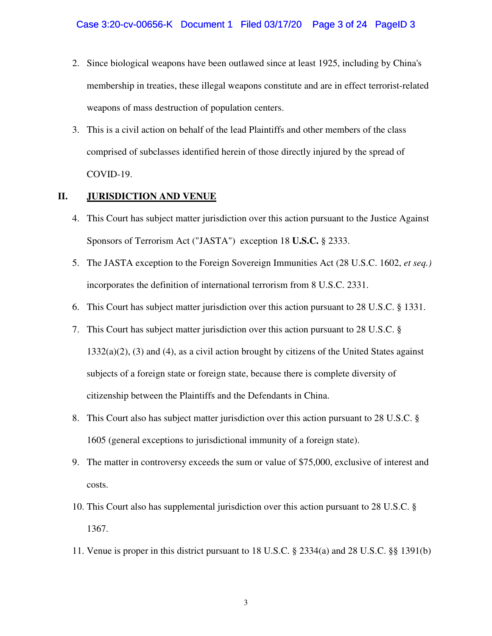- 2. Since biological weapons have been outlawed since at least 1925, including by China's membership in treaties, these illegal weapons constitute and are in effect terrorist-related weapons of mass destruction of population centers.
- 3. This is a civil action on behalf of the lead Plaintiffs and other members of the class comprised of subclasses identified herein of those directly injured by the spread of COVID-19.

#### **II. JURISDICTION AND VENUE**

- 4. This Court has subject matter jurisdiction over this action pursuant to the Justice Against Sponsors of Terrorism Act ("JASTA") exception 18 **U.S.C.** § 2333.
- 5. The JASTA exception to the Foreign Sovereign Immunities Act (28 U.S.C. 1602, *et seq.)* incorporates the definition of international terrorism from 8 U.S.C. 2331.
- 6. This Court has subject matter jurisdiction over this action pursuant to 28 U.S.C. § 1331.
- 7. This Court has subject matter jurisdiction over this action pursuant to 28 U.S.C. §  $1332(a)(2)$ , (3) and (4), as a civil action brought by citizens of the United States against subjects of a foreign state or foreign state, because there is complete diversity of citizenship between the Plaintiffs and the Defendants in China.
- 8. This Court also has subject matter jurisdiction over this action pursuant to 28 U.S.C. § 1605 (general exceptions to jurisdictional immunity of a foreign state).
- 9. The matter in controversy exceeds the sum or value of \$75,000, exclusive of interest and costs.
- 10. This Court also has supplemental jurisdiction over this action pursuant to 28 U.S.C. § 1367.
- 11. Venue is proper in this district pursuant to 18 U.S.C. § 2334(a) and 28 U.S.C. §§ 1391(b)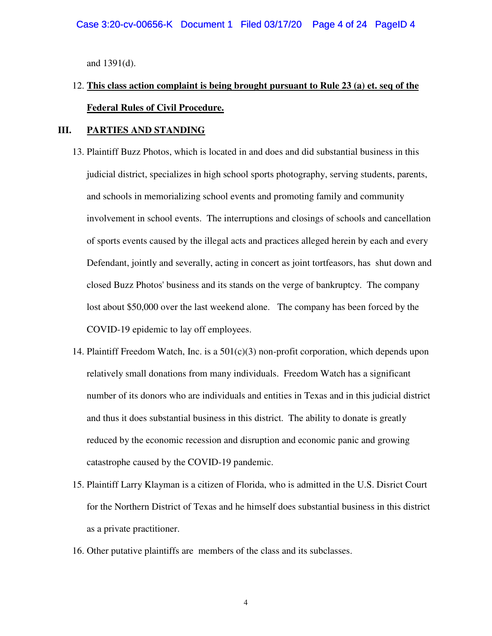and 1391(d).

# 12. **This class action complaint is being brought pursuant to Rule 23 (a) et. seq of the Federal Rules of Civil Procedure.**

#### **III. PARTIES AND STANDING**

- 13. Plaintiff Buzz Photos, which is located in and does and did substantial business in this judicial district, specializes in high school sports photography, serving students, parents, and schools in memorializing school events and promoting family and community involvement in school events. The interruptions and closings of schools and cancellation of sports events caused by the illegal acts and practices alleged herein by each and every Defendant, jointly and severally, acting in concert as joint tortfeasors, has shut down and closed Buzz Photos' business and its stands on the verge of bankruptcy. The company lost about \$50,000 over the last weekend alone. The company has been forced by the COVID-19 epidemic to lay off employees.
- 14. Plaintiff Freedom Watch, Inc. is a  $501(c)(3)$  non-profit corporation, which depends upon relatively small donations from many individuals. Freedom Watch has a significant number of its donors who are individuals and entities in Texas and in this judicial district and thus it does substantial business in this district. The ability to donate is greatly reduced by the economic recession and disruption and economic panic and growing catastrophe caused by the COVID-19 pandemic.
- 15. Plaintiff Larry Klayman is a citizen of Florida, who is admitted in the U.S. Disrict Court for the Northern District of Texas and he himself does substantial business in this district as a private practitioner.
- 16. Other putative plaintiffs are members of the class and its subclasses.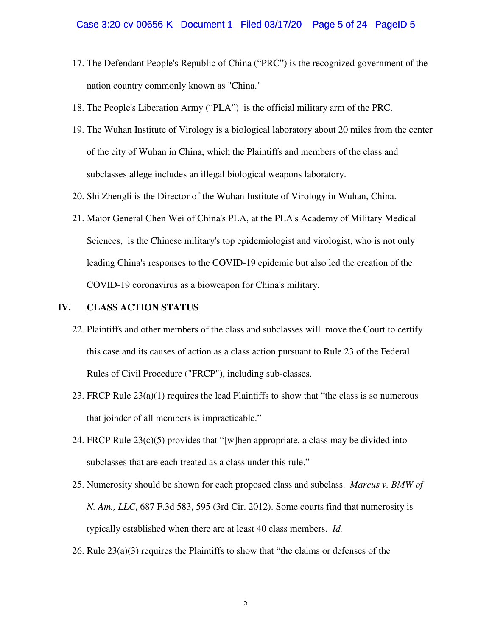- 17. The Defendant People's Republic of China ("PRC") is the recognized government of the nation country commonly known as "China."
- 18. The People's Liberation Army ("PLA") is the official military arm of the PRC.
- 19. The Wuhan Institute of Virology is a biological laboratory about 20 miles from the center of the city of Wuhan in China, which the Plaintiffs and members of the class and subclasses allege includes an illegal biological weapons laboratory.
- 20. Shi Zhengli is the Director of the Wuhan Institute of Virology in Wuhan, China.
- 21. Major General Chen Wei of China's PLA, at the PLA's Academy of Military Medical Sciences, is the Chinese military's top epidemiologist and virologist, who is not only leading China's responses to the COVID-19 epidemic but also led the creation of the COVID-19 coronavirus as a bioweapon for China's military.

#### **IV. CLASS ACTION STATUS**

- 22. Plaintiffs and other members of the class and subclasses will move the Court to certify this case and its causes of action as a class action pursuant to Rule 23 of the Federal Rules of Civil Procedure ("FRCP"), including sub-classes.
- 23. FRCP Rule 23(a)(1) requires the lead Plaintiffs to show that "the class is so numerous that joinder of all members is impracticable."
- 24. FRCP Rule  $23(c)(5)$  provides that "[w]hen appropriate, a class may be divided into subclasses that are each treated as a class under this rule."
- 25. Numerosity should be shown for each proposed class and subclass. *Marcus v. BMW of N. Am., LLC*, 687 F.3d 583, 595 (3rd Cir. 2012). Some courts find that numerosity is typically established when there are at least 40 class members. *Id.*
- 26. Rule 23(a)(3) requires the Plaintiffs to show that "the claims or defenses of the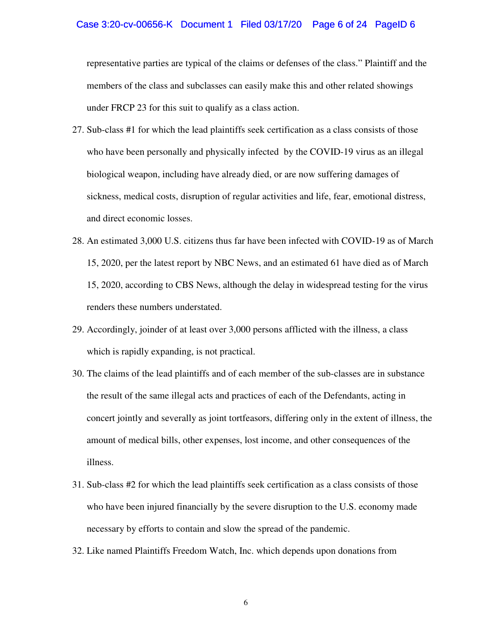#### Case 3:20-cv-00656-K Document 1 Filed 03/17/20 Page 6 of 24 PageID 6

representative parties are typical of the claims or defenses of the class." Plaintiff and the members of the class and subclasses can easily make this and other related showings under FRCP 23 for this suit to qualify as a class action.

- 27. Sub-class #1 for which the lead plaintiffs seek certification as a class consists of those who have been personally and physically infected by the COVID-19 virus as an illegal biological weapon, including have already died, or are now suffering damages of sickness, medical costs, disruption of regular activities and life, fear, emotional distress, and direct economic losses.
- 28. An estimated 3,000 U.S. citizens thus far have been infected with COVID-19 as of March 15, 2020, per the latest report by NBC News, and an estimated 61 have died as of March 15, 2020, according to CBS News, although the delay in widespread testing for the virus renders these numbers understated.
- 29. Accordingly, joinder of at least over 3,000 persons afflicted with the illness, a class which is rapidly expanding, is not practical.
- 30. The claims of the lead plaintiffs and of each member of the sub-classes are in substance the result of the same illegal acts and practices of each of the Defendants, acting in concert jointly and severally as joint tortfeasors, differing only in the extent of illness, the amount of medical bills, other expenses, lost income, and other consequences of the illness.
- 31. Sub-class #2 for which the lead plaintiffs seek certification as a class consists of those who have been injured financially by the severe disruption to the U.S. economy made necessary by efforts to contain and slow the spread of the pandemic.
- 32. Like named Plaintiffs Freedom Watch, Inc. which depends upon donations from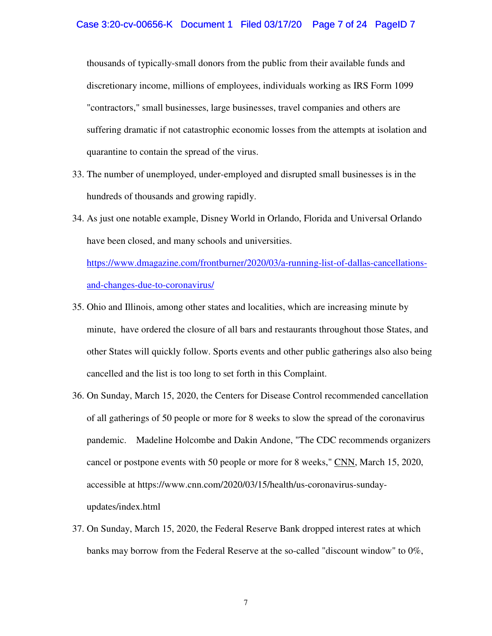#### Case 3:20-cv-00656-K Document 1 Filed 03/17/20 Page 7 of 24 PageID 7

thousands of typically-small donors from the public from their available funds and discretionary income, millions of employees, individuals working as IRS Form 1099 "contractors," small businesses, large businesses, travel companies and others are suffering dramatic if not catastrophic economic losses from the attempts at isolation and quarantine to contain the spread of the virus.

- 33. The number of unemployed, under-employed and disrupted small businesses is in the hundreds of thousands and growing rapidly.
- 34. As just one notable example, Disney World in Orlando, Florida and Universal Orlando have been closed, and many schools and universities.

https://www.dmagazine.com/frontburner/2020/03/a-running-list-of-dallas-cancellationsand-changes-due-to-coronavirus/

- 35. Ohio and Illinois, among other states and localities, which are increasing minute by minute, have ordered the closure of all bars and restaurants throughout those States, and other States will quickly follow. Sports events and other public gatherings also also being cancelled and the list is too long to set forth in this Complaint.
- 36. On Sunday, March 15, 2020, the Centers for Disease Control recommended cancellation of all gatherings of 50 people or more for 8 weeks to slow the spread of the coronavirus pandemic. Madeline Holcombe and Dakin Andone, "The CDC recommends organizers cancel or postpone events with 50 people or more for 8 weeks," CNN, March 15, 2020, accessible at https://www.cnn.com/2020/03/15/health/us-coronavirus-sundayupdates/index.html
- 37. On Sunday, March 15, 2020, the Federal Reserve Bank dropped interest rates at which banks may borrow from the Federal Reserve at the so-called "discount window" to 0%,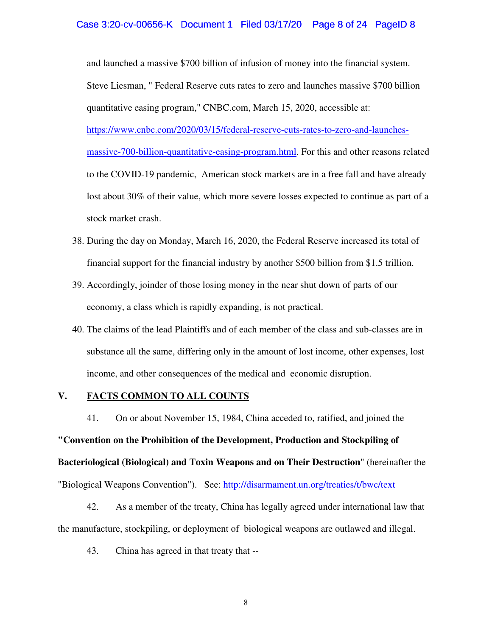and launched a massive \$700 billion of infusion of money into the financial system. Steve Liesman, " Federal Reserve cuts rates to zero and launches massive \$700 billion quantitative easing program," CNBC.com, March 15, 2020, accessible at: https://www.cnbc.com/2020/03/15/federal-reserve-cuts-rates-to-zero-and-launchesmassive-700-billion-quantitative-easing-program.html. For this and other reasons related to the COVID-19 pandemic, American stock markets are in a free fall and have already lost about 30% of their value, which more severe losses expected to continue as part of a stock market crash.

- 38. During the day on Monday, March 16, 2020, the Federal Reserve increased its total of financial support for the financial industry by another \$500 billion from \$1.5 trillion.
- 39. Accordingly, joinder of those losing money in the near shut down of parts of our economy, a class which is rapidly expanding, is not practical.
- 40. The claims of the lead Plaintiffs and of each member of the class and sub-classes are in substance all the same, differing only in the amount of lost income, other expenses, lost income, and other consequences of the medical and economic disruption.

#### **V. FACTS COMMON TO ALL COUNTS**

41. On or about November 15, 1984, China acceded to, ratified, and joined the

**"Convention on the Prohibition of the Development, Production and Stockpiling of Bacteriological (Biological) and Toxin Weapons and on Their Destruction**" (hereinafter the "Biological Weapons Convention"). See: http://disarmament.un.org/treaties/t/bwc/text

42. As a member of the treaty, China has legally agreed under international law that the manufacture, stockpiling, or deployment of biological weapons are outlawed and illegal.

43. China has agreed in that treaty that --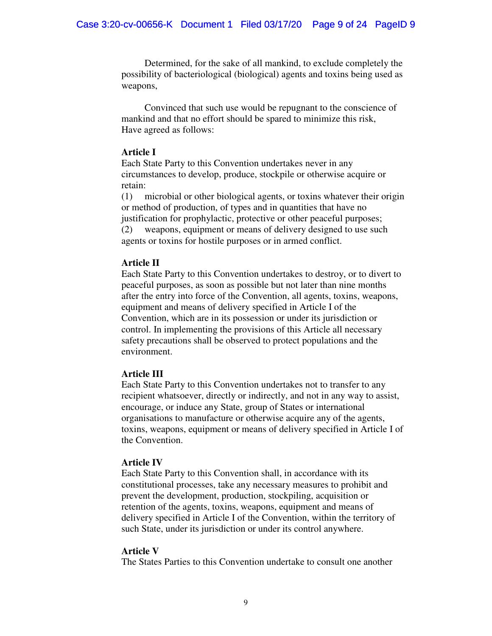Determined, for the sake of all mankind, to exclude completely the possibility of bacteriological (biological) agents and toxins being used as weapons,

 Convinced that such use would be repugnant to the conscience of mankind and that no effort should be spared to minimize this risk, Have agreed as follows:

#### **Article I**

Each State Party to this Convention undertakes never in any circumstances to develop, produce, stockpile or otherwise acquire or retain:

(1) microbial or other biological agents, or toxins whatever their origin or method of production, of types and in quantities that have no justification for prophylactic, protective or other peaceful purposes; (2) weapons, equipment or means of delivery designed to use such agents or toxins for hostile purposes or in armed conflict.

#### **Article II**

Each State Party to this Convention undertakes to destroy, or to divert to peaceful purposes, as soon as possible but not later than nine months after the entry into force of the Convention, all agents, toxins, weapons, equipment and means of delivery specified in Article I of the Convention, which are in its possession or under its jurisdiction or control. In implementing the provisions of this Article all necessary safety precautions shall be observed to protect populations and the environment.

#### **Article III**

Each State Party to this Convention undertakes not to transfer to any recipient whatsoever, directly or indirectly, and not in any way to assist, encourage, or induce any State, group of States or international organisations to manufacture or otherwise acquire any of the agents, toxins, weapons, equipment or means of delivery specified in Article I of the Convention.

#### **Article IV**

Each State Party to this Convention shall, in accordance with its constitutional processes, take any necessary measures to prohibit and prevent the development, production, stockpiling, acquisition or retention of the agents, toxins, weapons, equipment and means of delivery specified in Article I of the Convention, within the territory of such State, under its jurisdiction or under its control anywhere.

#### **Article V**

The States Parties to this Convention undertake to consult one another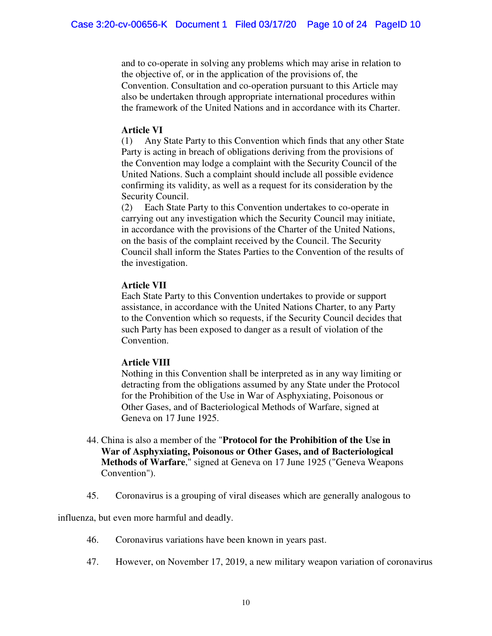and to co-operate in solving any problems which may arise in relation to the objective of, or in the application of the provisions of, the Convention. Consultation and co-operation pursuant to this Article may also be undertaken through appropriate international procedures within the framework of the United Nations and in accordance with its Charter.

#### **Article VI**

(1) Any State Party to this Convention which finds that any other State Party is acting in breach of obligations deriving from the provisions of the Convention may lodge a complaint with the Security Council of the United Nations. Such a complaint should include all possible evidence confirming its validity, as well as a request for its consideration by the Security Council.

(2) Each State Party to this Convention undertakes to co-operate in carrying out any investigation which the Security Council may initiate, in accordance with the provisions of the Charter of the United Nations, on the basis of the complaint received by the Council. The Security Council shall inform the States Parties to the Convention of the results of the investigation.

#### **Article VII**

Each State Party to this Convention undertakes to provide or support assistance, in accordance with the United Nations Charter, to any Party to the Convention which so requests, if the Security Council decides that such Party has been exposed to danger as a result of violation of the Convention.

#### **Article VIII**

Nothing in this Convention shall be interpreted as in any way limiting or detracting from the obligations assumed by any State under the Protocol for the Prohibition of the Use in War of Asphyxiating, Poisonous or Other Gases, and of Bacteriological Methods of Warfare, signed at Geneva on 17 June 1925.

- 44. China is also a member of the "**Protocol for the Prohibition of the Use in War of Asphyxiating, Poisonous or Other Gases, and of Bacteriological Methods of Warfare**," signed at Geneva on 17 June 1925 ("Geneva Weapons Convention").
- 45. Coronavirus is a grouping of viral diseases which are generally analogous to

influenza, but even more harmful and deadly.

- 46. Coronavirus variations have been known in years past.
- 47. However, on November 17, 2019, a new military weapon variation of coronavirus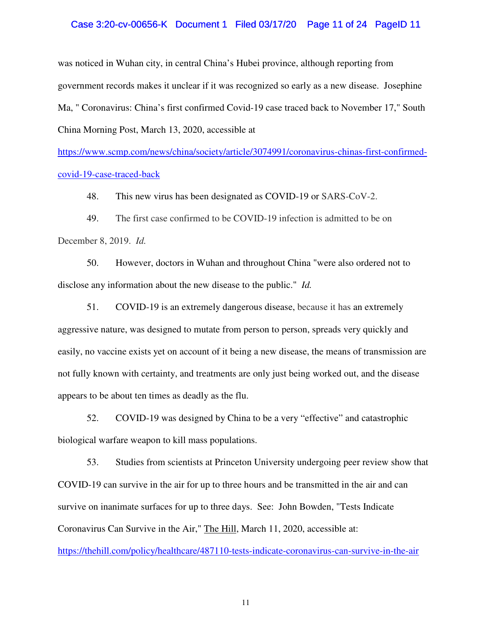#### Case 3:20-cv-00656-K Document 1 Filed 03/17/20 Page 11 of 24 PageID 11

was noticed in Wuhan city, in central China's Hubei province, although reporting from government records makes it unclear if it was recognized so early as a new disease. Josephine Ma, " Coronavirus: China's first confirmed Covid-19 case traced back to November 17," South China Morning Post, March 13, 2020, accessible at

https://www.scmp.com/news/china/society/article/3074991/coronavirus-chinas-first-confirmedcovid-19-case-traced-back

48. This new virus has been designated as COVID-19 or SARS-CoV-2.

49. The first case confirmed to be COVID-19 infection is admitted to be on December 8, 2019. *Id.*

50. However, doctors in Wuhan and throughout China "were also ordered not to disclose any information about the new disease to the public." *Id.*

51. COVID-19 is an extremely dangerous disease, because it has an extremely aggressive nature, was designed to mutate from person to person, spreads very quickly and easily, no vaccine exists yet on account of it being a new disease, the means of transmission are not fully known with certainty, and treatments are only just being worked out, and the disease appears to be about ten times as deadly as the flu.

52. COVID-19 was designed by China to be a very "effective" and catastrophic biological warfare weapon to kill mass populations.

53. Studies from scientists at Princeton University undergoing peer review show that COVID-19 can survive in the air for up to three hours and be transmitted in the air and can survive on inanimate surfaces for up to three days. See: John Bowden, "Tests Indicate Coronavirus Can Survive in the Air," The Hill, March 11, 2020, accessible at: https://thehill.com/policy/healthcare/487110-tests-indicate-coronavirus-can-survive-in-the-air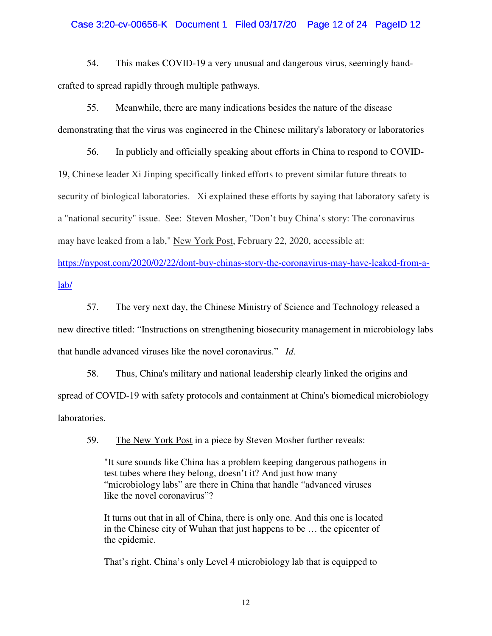#### Case 3:20-cv-00656-K Document 1 Filed 03/17/20 Page 12 of 24 PageID 12

54. This makes COVID-19 a very unusual and dangerous virus, seemingly handcrafted to spread rapidly through multiple pathways.

55. Meanwhile, there are many indications besides the nature of the disease demonstrating that the virus was engineered in the Chinese military's laboratory or laboratories

56. In publicly and officially speaking about efforts in China to respond to COVID-19, Chinese leader Xi Jinping specifically linked efforts to prevent similar future threats to security of biological laboratories. Xi explained these efforts by saying that laboratory safety is a "national security" issue. See: Steven Mosher, "Don't buy China's story: The coronavirus may have leaked from a lab," New York Post, February 22, 2020, accessible at:

https://nypost.com/2020/02/22/dont-buy-chinas-story-the-coronavirus-may-have-leaked-from-alab/

57. The very next day, the Chinese Ministry of Science and Technology released a new directive titled: "Instructions on strengthening biosecurity management in microbiology labs that handle advanced viruses like the novel coronavirus." *Id.*

58. Thus, China's military and national leadership clearly linked the origins and spread of COVID-19 with safety protocols and containment at China's biomedical microbiology laboratories.

59. The New York Post in a piece by Steven Mosher further reveals:

"It sure sounds like China has a problem keeping dangerous pathogens in test tubes where they belong, doesn't it? And just how many "microbiology labs" are there in China that handle "advanced viruses like the novel coronavirus"?

It turns out that in all of China, there is only one. And this one is located in the Chinese city of Wuhan that just happens to be … the epicenter of the epidemic.

That's right. China's only Level 4 microbiology lab that is equipped to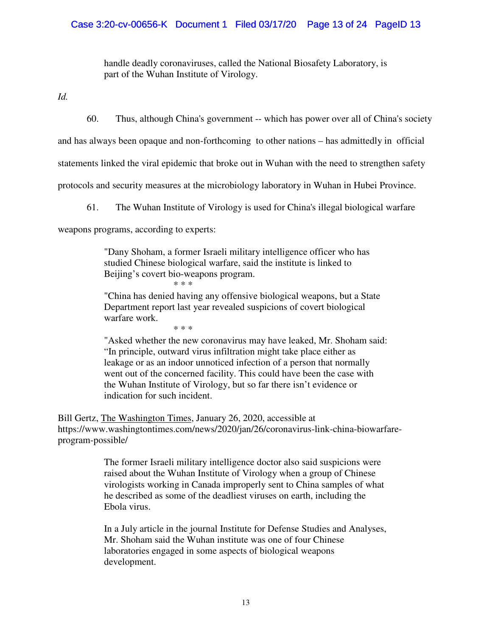handle deadly coronaviruses, called the National Biosafety Laboratory, is part of the Wuhan Institute of Virology.

*Id.* 

60. Thus, although China's government -- which has power over all of China's society

and has always been opaque and non-forthcoming to other nations – has admittedly in official

statements linked the viral epidemic that broke out in Wuhan with the need to strengthen safety

protocols and security measures at the microbiology laboratory in Wuhan in Hubei Province.

61. The Wuhan Institute of Virology is used for China's illegal biological warfare

weapons programs, according to experts:

"Dany Shoham, a former Israeli military intelligence officer who has studied Chinese biological warfare, said the institute is linked to Beijing's covert bio-weapons program.

 $* * *$ "China has denied having any offensive biological weapons, but a State Department report last year revealed suspicions of covert biological warfare work. \* \* \*

"Asked whether the new coronavirus may have leaked, Mr. Shoham said: "In principle, outward virus infiltration might take place either as leakage or as an indoor unnoticed infection of a person that normally went out of the concerned facility. This could have been the case with the Wuhan Institute of Virology, but so far there isn't evidence or indication for such incident.

Bill Gertz, The Washington Times, January 26, 2020, accessible at https://www.washingtontimes.com/news/2020/jan/26/coronavirus-link-china-biowarfareprogram-possible/

> The former Israeli military intelligence doctor also said suspicions were raised about the Wuhan Institute of Virology when a group of Chinese virologists working in Canada improperly sent to China samples of what he described as some of the deadliest viruses on earth, including the Ebola virus.

> In a July article in the journal Institute for Defense Studies and Analyses, Mr. Shoham said the Wuhan institute was one of four Chinese laboratories engaged in some aspects of biological weapons development.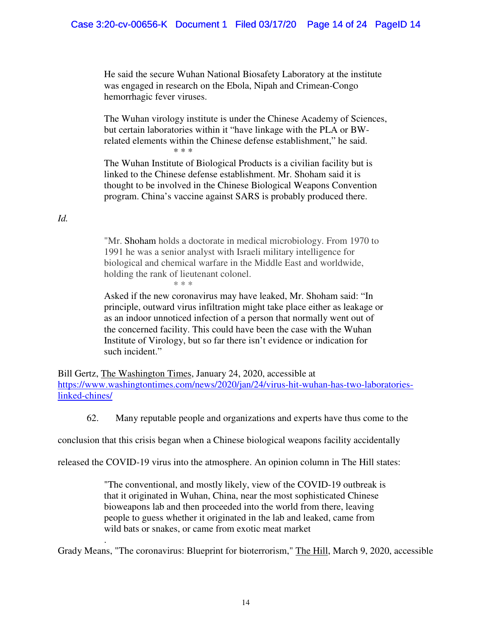He said the secure Wuhan National Biosafety Laboratory at the institute was engaged in research on the Ebola, Nipah and Crimean-Congo hemorrhagic fever viruses.

The Wuhan virology institute is under the Chinese Academy of Sciences, but certain laboratories within it "have linkage with the PLA or BWrelated elements within the Chinese defense establishment," he said.

 $* * *$ The Wuhan Institute of Biological Products is a civilian facility but is linked to the Chinese defense establishment. Mr. Shoham said it is thought to be involved in the Chinese Biological Weapons Convention program. China's vaccine against SARS is probably produced there.

# *Id.*

.

"Mr. Shoham holds a doctorate in medical microbiology. From 1970 to 1991 he was a senior analyst with Israeli military intelligence for biological and chemical warfare in the Middle East and worldwide, holding the rank of lieutenant colonel.

 $* * *$ Asked if the new coronavirus may have leaked, Mr. Shoham said: "In principle, outward virus infiltration might take place either as leakage or as an indoor unnoticed infection of a person that normally went out of the concerned facility. This could have been the case with the Wuhan Institute of Virology, but so far there isn't evidence or indication for such incident."

Bill Gertz, The Washington Times, January 24, 2020, accessible at https://www.washingtontimes.com/news/2020/jan/24/virus-hit-wuhan-has-two-laboratorieslinked-chines/

62. Many reputable people and organizations and experts have thus come to the

conclusion that this crisis began when a Chinese biological weapons facility accidentally

released the COVID-19 virus into the atmosphere. An opinion column in The Hill states:

"The conventional, and mostly likely, view of the COVID-19 outbreak is that it originated in Wuhan, China, near the most sophisticated Chinese bioweapons lab and then proceeded into the world from there, leaving people to guess whether it originated in the lab and leaked, came from wild bats or snakes, or came from exotic meat market

Grady Means, "The coronavirus: Blueprint for bioterrorism," The Hill, March 9, 2020, accessible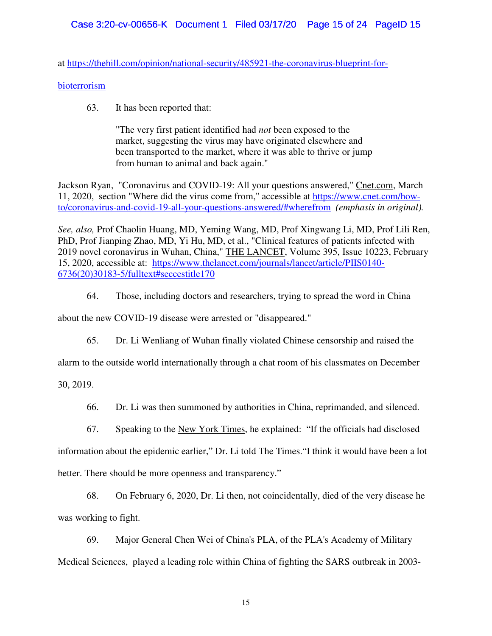at https://thehill.com/opinion/national-security/485921-the-coronavirus-blueprint-for-

bioterrorism

63. It has been reported that:

"The very first patient identified had *not* been exposed to the market, suggesting the virus may have originated elsewhere and been transported to the market, where it was able to thrive or jump from human to animal and back again."

Jackson Ryan, "Coronavirus and COVID-19: All your questions answered," Cnet.com, March 11, 2020, section "Where did the virus come from," accessible at https://www.cnet.com/howto/coronavirus-and-covid-19-all-your-questions-answered/#wherefrom *(emphasis in original).* 

*See, also,* Prof Chaolin Huang, MD, Yeming Wang, MD, Prof Xingwang Li, MD, Prof Lili Ren, PhD, Prof Jianping Zhao, MD, Yi Hu, MD, et al., "Clinical features of patients infected with 2019 novel coronavirus in Wuhan, China," THE LANCET, Volume 395, Issue 10223, February 15, 2020, accessible at: https://www.thelancet.com/journals/lancet/article/PIIS0140- 6736(20)30183-5/fulltext#seccestitle170

64. Those, including doctors and researchers, trying to spread the word in China

about the new COVID-19 disease were arrested or "disappeared."

65. Dr. Li Wenliang of Wuhan finally violated Chinese censorship and raised the

alarm to the outside world internationally through a chat room of his classmates on December

30, 2019.

66. Dr. Li was then summoned by authorities in China, reprimanded, and silenced.

67. Speaking to the New York Times, he explained: "If the officials had disclosed

information about the epidemic earlier," Dr. Li told The Times."I think it would have been a lot

better. There should be more openness and transparency."

68. On February 6, 2020, Dr. Li then, not coincidentally, died of the very disease he was working to fight.

69. Major General Chen Wei of China's PLA, of the PLA's Academy of Military Medical Sciences, played a leading role within China of fighting the SARS outbreak in 2003-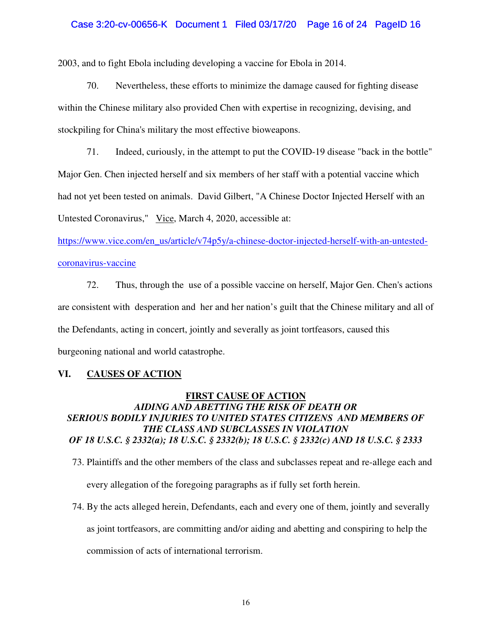#### Case 3:20-cv-00656-K Document 1 Filed 03/17/20 Page 16 of 24 PageID 16

2003, and to fight Ebola including developing a vaccine for Ebola in 2014.

70. Nevertheless, these efforts to minimize the damage caused for fighting disease within the Chinese military also provided Chen with expertise in recognizing, devising, and stockpiling for China's military the most effective bioweapons.

71. Indeed, curiously, in the attempt to put the COVID-19 disease "back in the bottle" Major Gen. Chen injected herself and six members of her staff with a potential vaccine which had not yet been tested on animals. David Gilbert, "A Chinese Doctor Injected Herself with an Untested Coronavirus," Vice, March 4, 2020, accessible at:

https://www.vice.com/en\_us/article/v74p5y/a-chinese-doctor-injected-herself-with-an-untestedcoronavirus-vaccine

72. Thus, through the use of a possible vaccine on herself, Major Gen. Chen's actions are consistent with desperation and her and her nation's guilt that the Chinese military and all of the Defendants, acting in concert, jointly and severally as joint tortfeasors, caused this burgeoning national and world catastrophe.

#### **VI. CAUSES OF ACTION**

# **FIRST CAUSE OF ACTION** *AIDING AND ABETTING THE RISK OF DEATH OR SERIOUS BODILY INJURIES TO UNITED STATES CITIZENS AND MEMBERS OF THE CLASS AND SUBCLASSES IN VIOLATION OF 18 U.S.C. § 2332(a); 18 U.S.C. § 2332(b); 18 U.S.C. § 2332(c) AND 18 U.S.C. § 2333*

- 73. Plaintiffs and the other members of the class and subclasses repeat and re-allege each and every allegation of the foregoing paragraphs as if fully set forth herein.
- 74. By the acts alleged herein, Defendants, each and every one of them, jointly and severally as joint tortfeasors, are committing and/or aiding and abetting and conspiring to help the commission of acts of international terrorism.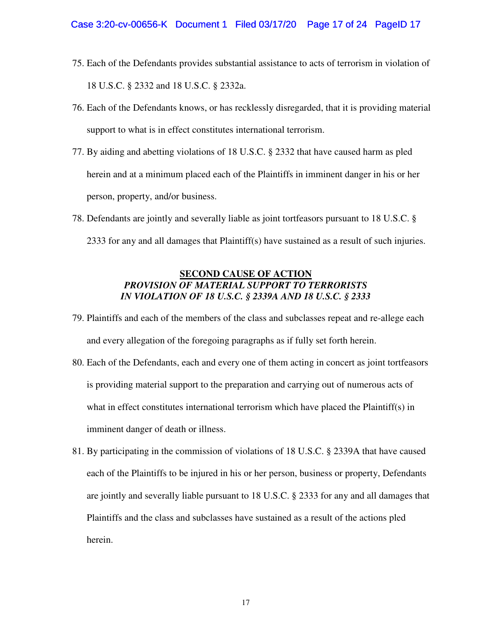- 75. Each of the Defendants provides substantial assistance to acts of terrorism in violation of 18 U.S.C. § 2332 and 18 U.S.C. § 2332a.
- 76. Each of the Defendants knows, or has recklessly disregarded, that it is providing material support to what is in effect constitutes international terrorism.
- 77. By aiding and abetting violations of 18 U.S.C. § 2332 that have caused harm as pled herein and at a minimum placed each of the Plaintiffs in imminent danger in his or her person, property, and/or business.
- 78. Defendants are jointly and severally liable as joint tortfeasors pursuant to 18 U.S.C. § 2333 for any and all damages that Plaintiff(s) have sustained as a result of such injuries.

### **SECOND CAUSE OF ACTION** *PROVISION OF MATERIAL SUPPORT TO TERRORISTS IN VIOLATION OF 18 U.S.C. § 2339A AND 18 U.S.C. § 2333*

- 79. Plaintiffs and each of the members of the class and subclasses repeat and re-allege each and every allegation of the foregoing paragraphs as if fully set forth herein.
- 80. Each of the Defendants, each and every one of them acting in concert as joint tortfeasors is providing material support to the preparation and carrying out of numerous acts of what in effect constitutes international terrorism which have placed the Plaintiff(s) in imminent danger of death or illness.
- 81. By participating in the commission of violations of 18 U.S.C. § 2339A that have caused each of the Plaintiffs to be injured in his or her person, business or property, Defendants are jointly and severally liable pursuant to 18 U.S.C. § 2333 for any and all damages that Plaintiffs and the class and subclasses have sustained as a result of the actions pled herein.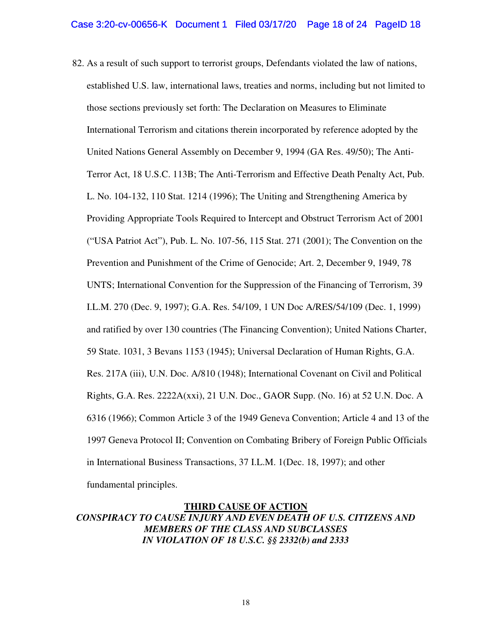82. As a result of such support to terrorist groups, Defendants violated the law of nations, established U.S. law, international laws, treaties and norms, including but not limited to those sections previously set forth: The Declaration on Measures to Eliminate International Terrorism and citations therein incorporated by reference adopted by the United Nations General Assembly on December 9, 1994 (GA Res. 49/50); The Anti-Terror Act, 18 U.S.C. 113B; The Anti-Terrorism and Effective Death Penalty Act, Pub. L. No. 104-132, 110 Stat. 1214 (1996); The Uniting and Strengthening America by Providing Appropriate Tools Required to Intercept and Obstruct Terrorism Act of 2001 ("USA Patriot Act"), Pub. L. No. 107-56, 115 Stat. 271 (2001); The Convention on the Prevention and Punishment of the Crime of Genocide; Art. 2, December 9, 1949, 78 UNTS; International Convention for the Suppression of the Financing of Terrorism, 39 I.L.M. 270 (Dec. 9, 1997); G.A. Res. 54/109, 1 UN Doc A/RES/54/109 (Dec. 1, 1999) and ratified by over 130 countries (The Financing Convention); United Nations Charter, 59 State. 1031, 3 Bevans 1153 (1945); Universal Declaration of Human Rights, G.A. Res. 217A (iii), U.N. Doc. A/810 (1948); International Covenant on Civil and Political Rights, G.A. Res. 2222A(xxi), 21 U.N. Doc., GAOR Supp. (No. 16) at 52 U.N. Doc. A 6316 (1966); Common Article 3 of the 1949 Geneva Convention; Article 4 and 13 of the 1997 Geneva Protocol II; Convention on Combating Bribery of Foreign Public Officials in International Business Transactions, 37 I.L.M. 1(Dec. 18, 1997); and other fundamental principles.

# **THIRD CAUSE OF ACTION** *CONSPIRACY TO CAUSE INJURY AND EVEN DEATH OF U.S. CITIZENS AND MEMBERS OF THE CLASS AND SUBCLASSES IN VIOLATION OF 18 U.S.C. §§ 2332(b) and 2333*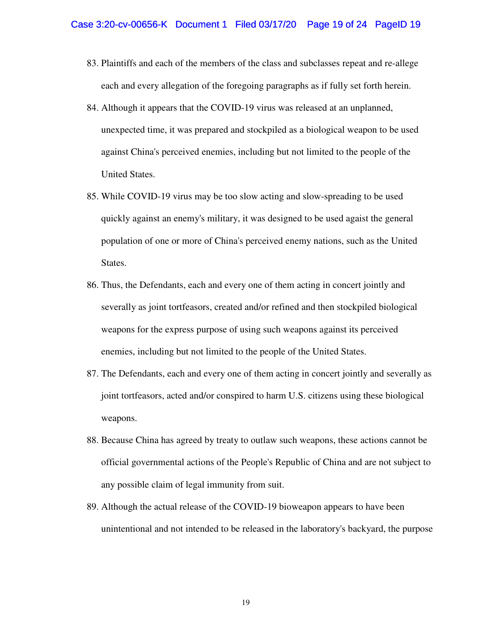- 83. Plaintiffs and each of the members of the class and subclasses repeat and re-allege each and every allegation of the foregoing paragraphs as if fully set forth herein.
- 84. Although it appears that the COVID-19 virus was released at an unplanned, unexpected time, it was prepared and stockpiled as a biological weapon to be used against China's perceived enemies, including but not limited to the people of the United States.
- 85. While COVID-19 virus may be too slow acting and slow-spreading to be used quickly against an enemy's military, it was designed to be used agaist the general population of one or more of China's perceived enemy nations, such as the United States.
- 86. Thus, the Defendants, each and every one of them acting in concert jointly and severally as joint tortfeasors, created and/or refined and then stockpiled biological weapons for the express purpose of using such weapons against its perceived enemies, including but not limited to the people of the United States.
- 87. The Defendants, each and every one of them acting in concert jointly and severally as joint tortfeasors, acted and/or conspired to harm U.S. citizens using these biological weapons.
- 88. Because China has agreed by treaty to outlaw such weapons, these actions cannot be official governmental actions of the People's Republic of China and are not subject to any possible claim of legal immunity from suit.
- 89. Although the actual release of the COVID-19 bioweapon appears to have been unintentional and not intended to be released in the laboratory's backyard, the purpose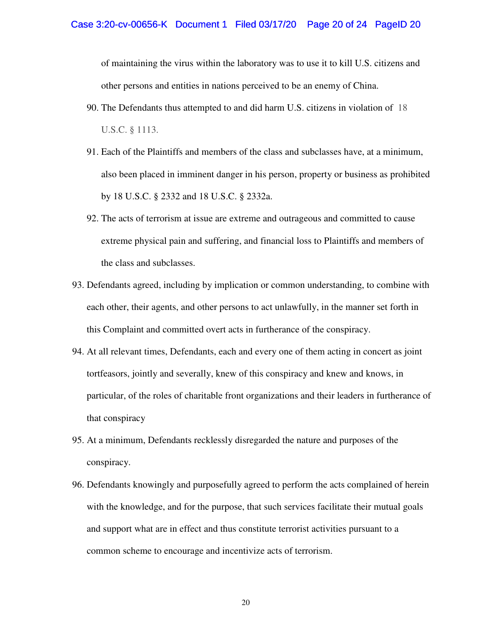of maintaining the virus within the laboratory was to use it to kill U.S. citizens and other persons and entities in nations perceived to be an enemy of China.

- 90. The Defendants thus attempted to and did harm U.S. citizens in violation of 18 U.S.C. § 1113.
- 91. Each of the Plaintiffs and members of the class and subclasses have, at a minimum, also been placed in imminent danger in his person, property or business as prohibited by 18 U.S.C. § 2332 and 18 U.S.C. § 2332a.
- 92. The acts of terrorism at issue are extreme and outrageous and committed to cause extreme physical pain and suffering, and financial loss to Plaintiffs and members of the class and subclasses.
- 93. Defendants agreed, including by implication or common understanding, to combine with each other, their agents, and other persons to act unlawfully, in the manner set forth in this Complaint and committed overt acts in furtherance of the conspiracy.
- 94. At all relevant times, Defendants, each and every one of them acting in concert as joint tortfeasors, jointly and severally, knew of this conspiracy and knew and knows, in particular, of the roles of charitable front organizations and their leaders in furtherance of that conspiracy
- 95. At a minimum, Defendants recklessly disregarded the nature and purposes of the conspiracy.
- 96. Defendants knowingly and purposefully agreed to perform the acts complained of herein with the knowledge, and for the purpose, that such services facilitate their mutual goals and support what are in effect and thus constitute terrorist activities pursuant to a common scheme to encourage and incentivize acts of terrorism.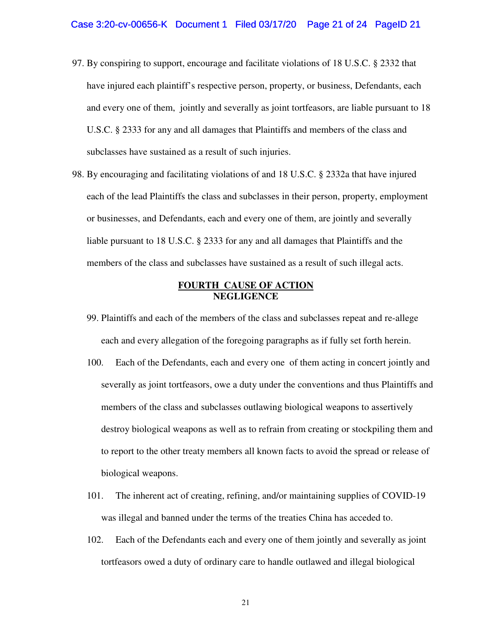- 97. By conspiring to support, encourage and facilitate violations of 18 U.S.C. § 2332 that have injured each plaintiff's respective person, property, or business, Defendants, each and every one of them, jointly and severally as joint tortfeasors, are liable pursuant to 18 U.S.C. § 2333 for any and all damages that Plaintiffs and members of the class and subclasses have sustained as a result of such injuries.
- 98. By encouraging and facilitating violations of and 18 U.S.C. § 2332a that have injured each of the lead Plaintiffs the class and subclasses in their person, property, employment or businesses, and Defendants, each and every one of them, are jointly and severally liable pursuant to 18 U.S.C. § 2333 for any and all damages that Plaintiffs and the members of the class and subclasses have sustained as a result of such illegal acts.

#### **FOURTH CAUSE OF ACTION NEGLIGENCE**

- 99. Plaintiffs and each of the members of the class and subclasses repeat and re-allege each and every allegation of the foregoing paragraphs as if fully set forth herein.
- 100. Each of the Defendants, each and every one of them acting in concert jointly and severally as joint tortfeasors, owe a duty under the conventions and thus Plaintiffs and members of the class and subclasses outlawing biological weapons to assertively destroy biological weapons as well as to refrain from creating or stockpiling them and to report to the other treaty members all known facts to avoid the spread or release of biological weapons.
- 101. The inherent act of creating, refining, and/or maintaining supplies of COVID-19 was illegal and banned under the terms of the treaties China has acceded to.
- 102. Each of the Defendants each and every one of them jointly and severally as joint tortfeasors owed a duty of ordinary care to handle outlawed and illegal biological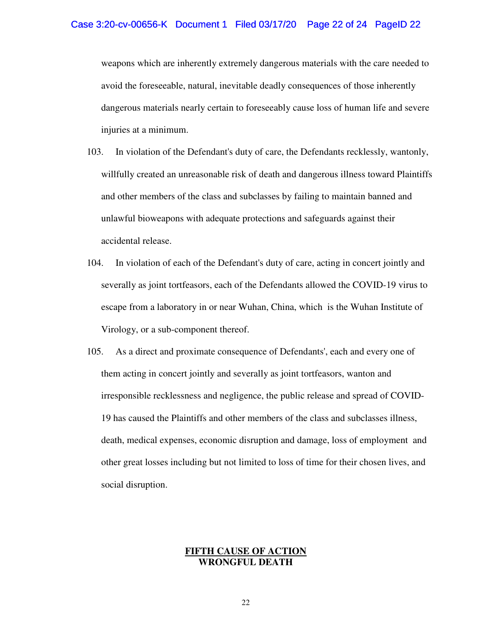weapons which are inherently extremely dangerous materials with the care needed to avoid the foreseeable, natural, inevitable deadly consequences of those inherently dangerous materials nearly certain to foreseeably cause loss of human life and severe injuries at a minimum.

- 103. In violation of the Defendant's duty of care, the Defendants recklessly, wantonly, willfully created an unreasonable risk of death and dangerous illness toward Plaintiffs and other members of the class and subclasses by failing to maintain banned and unlawful bioweapons with adequate protections and safeguards against their accidental release.
- 104. In violation of each of the Defendant's duty of care, acting in concert jointly and severally as joint tortfeasors, each of the Defendants allowed the COVID-19 virus to escape from a laboratory in or near Wuhan, China, which is the Wuhan Institute of Virology, or a sub-component thereof.
- 105. As a direct and proximate consequence of Defendants', each and every one of them acting in concert jointly and severally as joint tortfeasors, wanton and irresponsible recklessness and negligence, the public release and spread of COVID-19 has caused the Plaintiffs and other members of the class and subclasses illness, death, medical expenses, economic disruption and damage, loss of employment and other great losses including but not limited to loss of time for their chosen lives, and social disruption.

#### **FIFTH CAUSE OF ACTION WRONGFUL DEATH**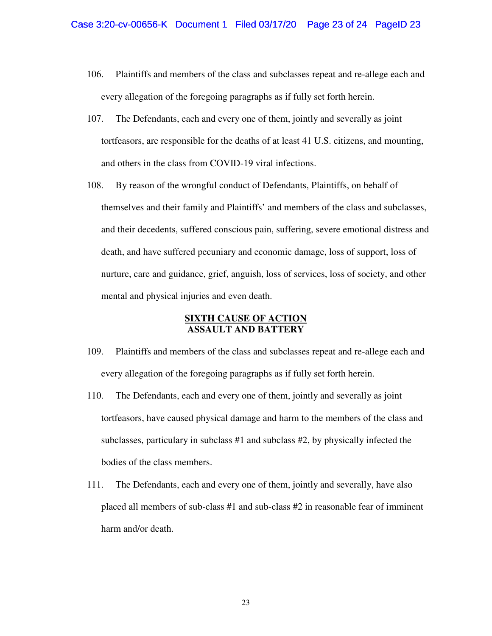- 106. Plaintiffs and members of the class and subclasses repeat and re-allege each and every allegation of the foregoing paragraphs as if fully set forth herein.
- 107. The Defendants, each and every one of them, jointly and severally as joint tortfeasors, are responsible for the deaths of at least 41 U.S. citizens, and mounting, and others in the class from COVID-19 viral infections.
- 108. By reason of the wrongful conduct of Defendants, Plaintiffs, on behalf of themselves and their family and Plaintiffs' and members of the class and subclasses, and their decedents, suffered conscious pain, suffering, severe emotional distress and death, and have suffered pecuniary and economic damage, loss of support, loss of nurture, care and guidance, grief, anguish, loss of services, loss of society, and other mental and physical injuries and even death.

#### **SIXTH CAUSE OF ACTION ASSAULT AND BATTERY**

- 109. Plaintiffs and members of the class and subclasses repeat and re-allege each and every allegation of the foregoing paragraphs as if fully set forth herein.
- 110. The Defendants, each and every one of them, jointly and severally as joint tortfeasors, have caused physical damage and harm to the members of the class and subclasses, particulary in subclass #1 and subclass #2, by physically infected the bodies of the class members.
- 111. The Defendants, each and every one of them, jointly and severally, have also placed all members of sub-class #1 and sub-class #2 in reasonable fear of imminent harm and/or death.